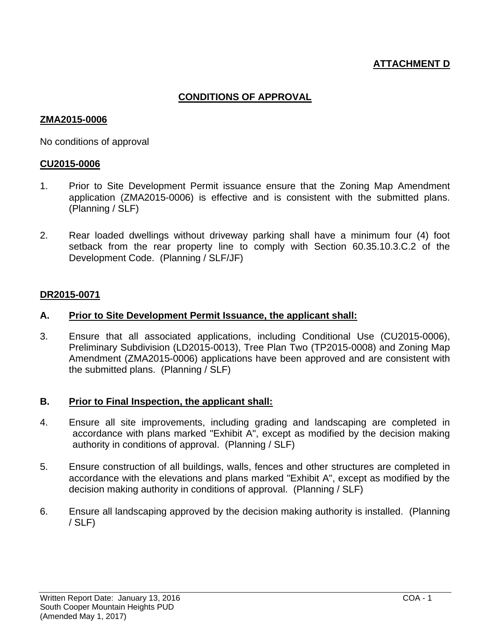# **ATTACHMENT D**

# **CONDITIONS OF APPROVAL**

### **ZMA2015-0006**

No conditions of approval

### **CU2015-0006**

- 1. Prior to Site Development Permit issuance ensure that the Zoning Map Amendment application (ZMA2015-0006) is effective and is consistent with the submitted plans. (Planning / SLF)
- 2. Rear loaded dwellings without driveway parking shall have a minimum four (4) foot setback from the rear property line to comply with Section 60.35.10.3.C.2 of the Development Code. (Planning / SLF/JF)

### **DR2015-0071**

### **A. Prior to Site Development Permit Issuance, the applicant shall:**

3. Ensure that all associated applications, including Conditional Use (CU2015-0006), Preliminary Subdivision (LD2015-0013), Tree Plan Two (TP2015-0008) and Zoning Map Amendment (ZMA2015-0006) applications have been approved and are consistent with the submitted plans. (Planning / SLF)

### **B. Prior to Final Inspection, the applicant shall:**

- 4. Ensure all site improvements, including grading and landscaping are completed in accordance with plans marked "Exhibit A", except as modified by the decision making authority in conditions of approval. (Planning / SLF)
- 5. Ensure construction of all buildings, walls, fences and other structures are completed in accordance with the elevations and plans marked "Exhibit A", except as modified by the decision making authority in conditions of approval. (Planning / SLF)
- 6. Ensure all landscaping approved by the decision making authority is installed. (Planning / SLF)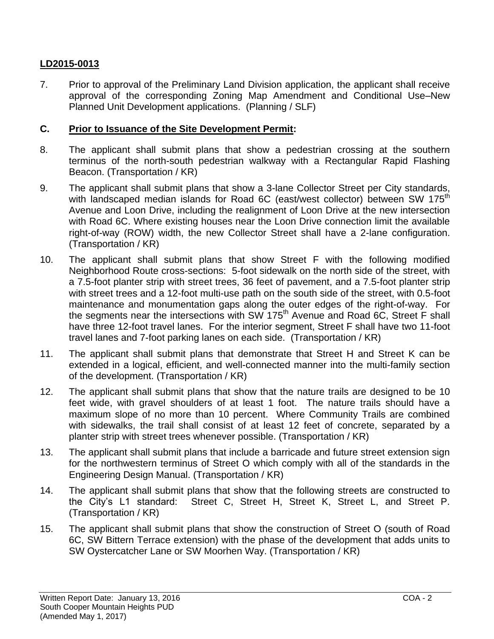# **LD2015-0013**

7. Prior to approval of the Preliminary Land Division application, the applicant shall receive approval of the corresponding Zoning Map Amendment and Conditional Use–New Planned Unit Development applications. (Planning / SLF)

### **C. Prior to Issuance of the Site Development Permit:**

- 8. The applicant shall submit plans that show a pedestrian crossing at the southern terminus of the north-south pedestrian walkway with a Rectangular Rapid Flashing Beacon. (Transportation / KR)
- 9. The applicant shall submit plans that show a 3-lane Collector Street per City standards, with landscaped median islands for Road 6C (east/west collector) between SW 175<sup>th</sup> Avenue and Loon Drive, including the realignment of Loon Drive at the new intersection with Road 6C. Where existing houses near the Loon Drive connection limit the available right-of-way (ROW) width, the new Collector Street shall have a 2-lane configuration. (Transportation / KR)
- 10. The applicant shall submit plans that show Street F with the following modified Neighborhood Route cross-sections: 5-foot sidewalk on the north side of the street, with a 7.5-foot planter strip with street trees, 36 feet of pavement, and a 7.5-foot planter strip with street trees and a 12-foot multi-use path on the south side of the street, with 0.5-foot maintenance and monumentation gaps along the outer edges of the right-of-way. For the segments near the intersections with SW 175<sup>th</sup> Avenue and Road 6C, Street F shall have three 12-foot travel lanes. For the interior segment, Street F shall have two 11-foot travel lanes and 7-foot parking lanes on each side. (Transportation / KR)
- 11. The applicant shall submit plans that demonstrate that Street H and Street K can be extended in a logical, efficient, and well-connected manner into the multi-family section of the development. (Transportation / KR)
- 12. The applicant shall submit plans that show that the nature trails are designed to be 10 feet wide, with gravel shoulders of at least 1 foot. The nature trails should have a maximum slope of no more than 10 percent. Where Community Trails are combined with sidewalks, the trail shall consist of at least 12 feet of concrete, separated by a planter strip with street trees whenever possible. (Transportation / KR)
- 13. The applicant shall submit plans that include a barricade and future street extension sign for the northwestern terminus of Street O which comply with all of the standards in the Engineering Design Manual. (Transportation / KR)
- 14. The applicant shall submit plans that show that the following streets are constructed to the City's L1 standard: Street C, Street H, Street K, Street L, and Street P. (Transportation / KR)
- 15. The applicant shall submit plans that show the construction of Street O (south of Road 6C, SW Bittern Terrace extension) with the phase of the development that adds units to SW Oystercatcher Lane or SW Moorhen Way. (Transportation / KR)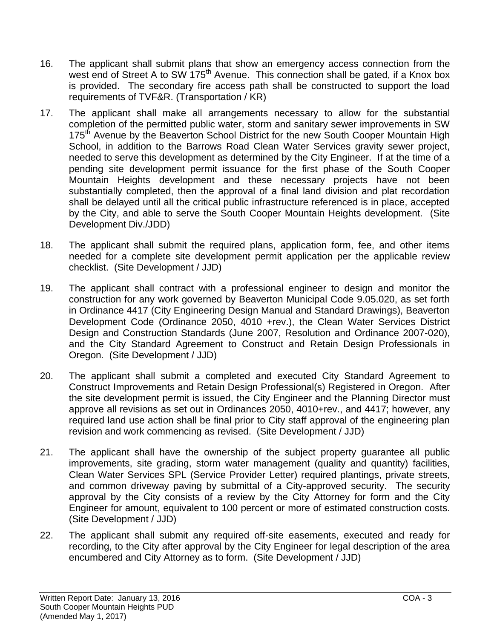- 16. The applicant shall submit plans that show an emergency access connection from the west end of Street A to SW 175<sup>th</sup> Avenue. This connection shall be gated, if a Knox box is provided. The secondary fire access path shall be constructed to support the load requirements of TVF&R. (Transportation / KR)
- 17. The applicant shall make all arrangements necessary to allow for the substantial completion of the permitted public water, storm and sanitary sewer improvements in SW 175<sup>th</sup> Avenue by the Beaverton School District for the new South Cooper Mountain High School, in addition to the Barrows Road Clean Water Services gravity sewer project, needed to serve this development as determined by the City Engineer. If at the time of a pending site development permit issuance for the first phase of the South Cooper Mountain Heights development and these necessary projects have not been substantially completed, then the approval of a final land division and plat recordation shall be delayed until all the critical public infrastructure referenced is in place, accepted by the City, and able to serve the South Cooper Mountain Heights development. (Site Development Div./JDD)
- 18. The applicant shall submit the required plans, application form, fee, and other items needed for a complete site development permit application per the applicable review checklist. (Site Development / JJD)
- 19. The applicant shall contract with a professional engineer to design and monitor the construction for any work governed by Beaverton Municipal Code 9.05.020, as set forth in Ordinance 4417 (City Engineering Design Manual and Standard Drawings), Beaverton Development Code (Ordinance 2050, 4010 +rev.), the Clean Water Services District Design and Construction Standards (June 2007, Resolution and Ordinance 2007-020), and the City Standard Agreement to Construct and Retain Design Professionals in Oregon. (Site Development / JJD)
- 20. The applicant shall submit a completed and executed City Standard Agreement to Construct Improvements and Retain Design Professional(s) Registered in Oregon. After the site development permit is issued, the City Engineer and the Planning Director must approve all revisions as set out in Ordinances 2050, 4010+rev., and 4417; however, any required land use action shall be final prior to City staff approval of the engineering plan revision and work commencing as revised. (Site Development / JJD)
- 21. The applicant shall have the ownership of the subject property guarantee all public improvements, site grading, storm water management (quality and quantity) facilities, Clean Water Services SPL (Service Provider Letter) required plantings, private streets, and common driveway paving by submittal of a City-approved security. The security approval by the City consists of a review by the City Attorney for form and the City Engineer for amount, equivalent to 100 percent or more of estimated construction costs. (Site Development / JJD)
- 22. The applicant shall submit any required off-site easements, executed and ready for recording, to the City after approval by the City Engineer for legal description of the area encumbered and City Attorney as to form. (Site Development / JJD)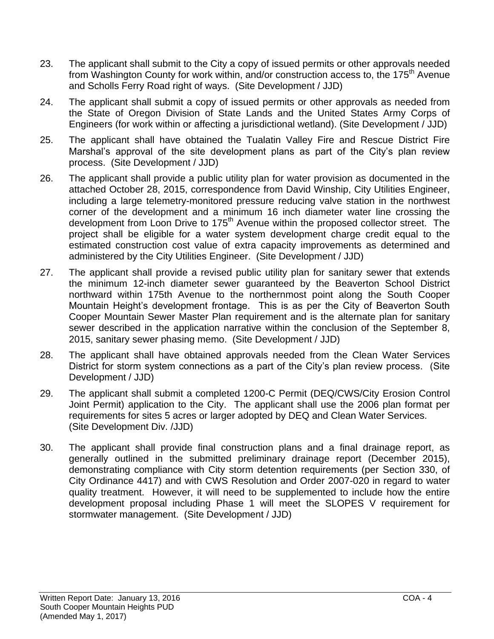- 23. The applicant shall submit to the City a copy of issued permits or other approvals needed from Washington County for work within, and/or construction access to, the 175<sup>th</sup> Avenue and Scholls Ferry Road right of ways. (Site Development / JJD)
- 24. The applicant shall submit a copy of issued permits or other approvals as needed from the State of Oregon Division of State Lands and the United States Army Corps of Engineers (for work within or affecting a jurisdictional wetland). (Site Development / JJD)
- 25. The applicant shall have obtained the Tualatin Valley Fire and Rescue District Fire Marshal's approval of the site development plans as part of the City's plan review process. (Site Development / JJD)
- 26. The applicant shall provide a public utility plan for water provision as documented in the attached October 28, 2015, correspondence from David Winship, City Utilities Engineer, including a large telemetry-monitored pressure reducing valve station in the northwest corner of the development and a minimum 16 inch diameter water line crossing the development from Loon Drive to 175<sup>th</sup> Avenue within the proposed collector street. The project shall be eligible for a water system development charge credit equal to the estimated construction cost value of extra capacity improvements as determined and administered by the City Utilities Engineer. (Site Development / JJD)
- 27. The applicant shall provide a revised public utility plan for sanitary sewer that extends the minimum 12-inch diameter sewer guaranteed by the Beaverton School District northward within 175th Avenue to the northernmost point along the South Cooper Mountain Height's development frontage. This is as per the City of Beaverton South Cooper Mountain Sewer Master Plan requirement and is the alternate plan for sanitary sewer described in the application narrative within the conclusion of the September 8, 2015, sanitary sewer phasing memo. (Site Development / JJD)
- 28. The applicant shall have obtained approvals needed from the Clean Water Services District for storm system connections as a part of the City's plan review process. (Site Development / JJD)
- 29. The applicant shall submit a completed 1200-C Permit (DEQ/CWS/City Erosion Control Joint Permit) application to the City. The applicant shall use the 2006 plan format per requirements for sites 5 acres or larger adopted by DEQ and Clean Water Services. (Site Development Div. /JJD)
- 30. The applicant shall provide final construction plans and a final drainage report, as generally outlined in the submitted preliminary drainage report (December 2015), demonstrating compliance with City storm detention requirements (per Section 330, of City Ordinance 4417) and with CWS Resolution and Order 2007-020 in regard to water quality treatment. However, it will need to be supplemented to include how the entire development proposal including Phase 1 will meet the SLOPES V requirement for stormwater management. (Site Development / JJD)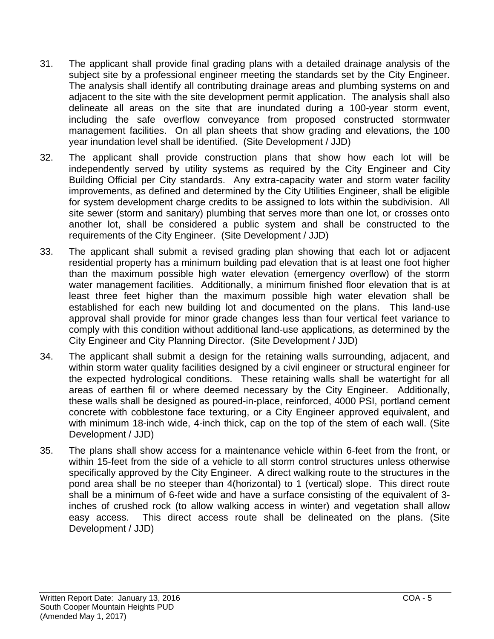- 31. The applicant shall provide final grading plans with a detailed drainage analysis of the subject site by a professional engineer meeting the standards set by the City Engineer. The analysis shall identify all contributing drainage areas and plumbing systems on and adjacent to the site with the site development permit application. The analysis shall also delineate all areas on the site that are inundated during a 100-year storm event, including the safe overflow conveyance from proposed constructed stormwater management facilities. On all plan sheets that show grading and elevations, the 100 year inundation level shall be identified. (Site Development / JJD)
- 32. The applicant shall provide construction plans that show how each lot will be independently served by utility systems as required by the City Engineer and City Building Official per City standards. Any extra-capacity water and storm water facility improvements, as defined and determined by the City Utilities Engineer, shall be eligible for system development charge credits to be assigned to lots within the subdivision. All site sewer (storm and sanitary) plumbing that serves more than one lot, or crosses onto another lot, shall be considered a public system and shall be constructed to the requirements of the City Engineer. (Site Development / JJD)
- 33. The applicant shall submit a revised grading plan showing that each lot or adjacent residential property has a minimum building pad elevation that is at least one foot higher than the maximum possible high water elevation (emergency overflow) of the storm water management facilities. Additionally, a minimum finished floor elevation that is at least three feet higher than the maximum possible high water elevation shall be established for each new building lot and documented on the plans. This land-use approval shall provide for minor grade changes less than four vertical feet variance to comply with this condition without additional land-use applications, as determined by the City Engineer and City Planning Director. (Site Development / JJD)
- 34. The applicant shall submit a design for the retaining walls surrounding, adjacent, and within storm water quality facilities designed by a civil engineer or structural engineer for the expected hydrological conditions. These retaining walls shall be watertight for all areas of earthen fil or where deemed necessary by the City Engineer. Additionally, these walls shall be designed as poured-in-place, reinforced, 4000 PSI, portland cement concrete with cobblestone face texturing, or a City Engineer approved equivalent, and with minimum 18-inch wide, 4-inch thick, cap on the top of the stem of each wall. (Site Development / JJD)
- 35. The plans shall show access for a maintenance vehicle within 6-feet from the front, or within 15-feet from the side of a vehicle to all storm control structures unless otherwise specifically approved by the City Engineer. A direct walking route to the structures in the pond area shall be no steeper than 4(horizontal) to 1 (vertical) slope. This direct route shall be a minimum of 6-feet wide and have a surface consisting of the equivalent of 3 inches of crushed rock (to allow walking access in winter) and vegetation shall allow easy access. This direct access route shall be delineated on the plans. (Site Development / JJD)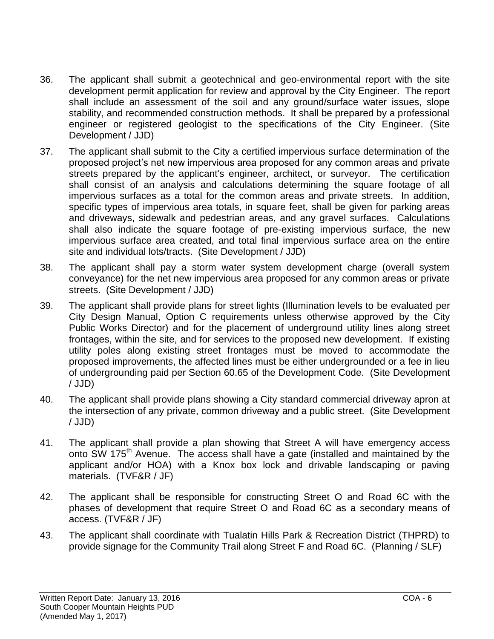- 36. The applicant shall submit a geotechnical and geo-environmental report with the site development permit application for review and approval by the City Engineer. The report shall include an assessment of the soil and any ground/surface water issues, slope stability, and recommended construction methods. It shall be prepared by a professional engineer or registered geologist to the specifications of the City Engineer. (Site Development / JJD)
- 37. The applicant shall submit to the City a certified impervious surface determination of the proposed project's net new impervious area proposed for any common areas and private streets prepared by the applicant's engineer, architect, or surveyor. The certification shall consist of an analysis and calculations determining the square footage of all impervious surfaces as a total for the common areas and private streets. In addition, specific types of impervious area totals, in square feet, shall be given for parking areas and driveways, sidewalk and pedestrian areas, and any gravel surfaces. Calculations shall also indicate the square footage of pre-existing impervious surface, the new impervious surface area created, and total final impervious surface area on the entire site and individual lots/tracts. (Site Development / JJD)
- 38. The applicant shall pay a storm water system development charge (overall system conveyance) for the net new impervious area proposed for any common areas or private streets. (Site Development / JJD)
- 39. The applicant shall provide plans for street lights (Illumination levels to be evaluated per City Design Manual, Option C requirements unless otherwise approved by the City Public Works Director) and for the placement of underground utility lines along street frontages, within the site, and for services to the proposed new development. If existing utility poles along existing street frontages must be moved to accommodate the proposed improvements, the affected lines must be either undergrounded or a fee in lieu of undergrounding paid per Section 60.65 of the Development Code. (Site Development / JJD)
- 40. The applicant shall provide plans showing a City standard commercial driveway apron at the intersection of any private, common driveway and a public street. (Site Development / JJD)
- 41. The applicant shall provide a plan showing that Street A will have emergency access onto SW 175<sup>th</sup> Avenue. The access shall have a gate (installed and maintained by the applicant and/or HOA) with a Knox box lock and drivable landscaping or paving materials. (TVF&R / JF)
- 42. The applicant shall be responsible for constructing Street O and Road 6C with the phases of development that require Street O and Road 6C as a secondary means of access. (TVF&R / JF)
- 43. The applicant shall coordinate with Tualatin Hills Park & Recreation District (THPRD) to provide signage for the Community Trail along Street F and Road 6C. (Planning / SLF)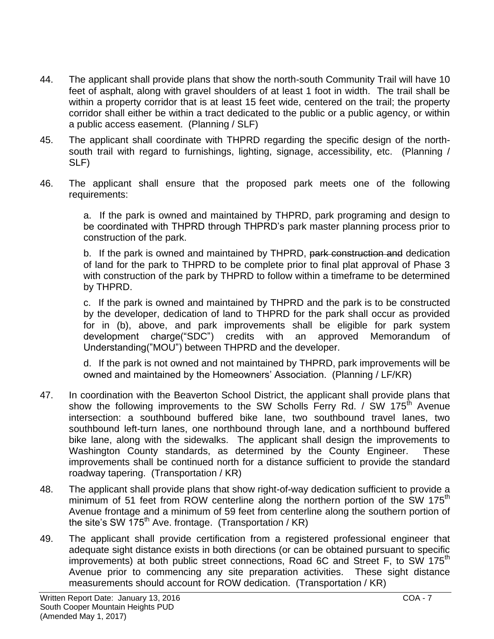- 44. The applicant shall provide plans that show the north-south Community Trail will have 10 feet of asphalt, along with gravel shoulders of at least 1 foot in width. The trail shall be within a property corridor that is at least 15 feet wide, centered on the trail; the property corridor shall either be within a tract dedicated to the public or a public agency, or within a public access easement. (Planning / SLF)
- 45. The applicant shall coordinate with THPRD regarding the specific design of the northsouth trail with regard to furnishings, lighting, signage, accessibility, etc. (Planning / SLF)
- 46. The applicant shall ensure that the proposed park meets one of the following requirements:

a. If the park is owned and maintained by THPRD, park programing and design to be coordinated with THPRD through THPRD's park master planning process prior to construction of the park.

b. If the park is owned and maintained by THPRD, park construction and dedication of land for the park to THPRD to be complete prior to final plat approval of Phase 3 with construction of the park by THPRD to follow within a timeframe to be determined by THPRD.

c. If the park is owned and maintained by THPRD and the park is to be constructed by the developer, dedication of land to THPRD for the park shall occur as provided for in (b), above, and park improvements shall be eligible for park system development charge("SDC") credits with an approved Memorandum of Understanding("MOU") between THPRD and the developer.

d. If the park is not owned and not maintained by THPRD, park improvements will be owned and maintained by the Homeowners' Association. (Planning / LF/KR)

- 47. In coordination with the Beaverton School District, the applicant shall provide plans that show the following improvements to the SW Scholls Ferry Rd. / SW 175<sup>th</sup> Avenue intersection: a southbound buffered bike lane, two southbound travel lanes, two southbound left-turn lanes, one northbound through lane, and a northbound buffered bike lane, along with the sidewalks. The applicant shall design the improvements to Washington County standards, as determined by the County Engineer. These improvements shall be continued north for a distance sufficient to provide the standard roadway tapering. (Transportation / KR)
- 48. The applicant shall provide plans that show right-of-way dedication sufficient to provide a minimum of 51 feet from ROW centerline along the northern portion of the SW 175<sup>th</sup> Avenue frontage and a minimum of 59 feet from centerline along the southern portion of the site's SW  $175^{th}$  Ave. frontage. (Transportation / KR)
- 49. The applicant shall provide certification from a registered professional engineer that adequate sight distance exists in both directions (or can be obtained pursuant to specific improvements) at both public street connections, Road 6C and Street F, to SW 175<sup>th</sup> Avenue prior to commencing any site preparation activities. These sight distance measurements should account for ROW dedication. (Transportation / KR)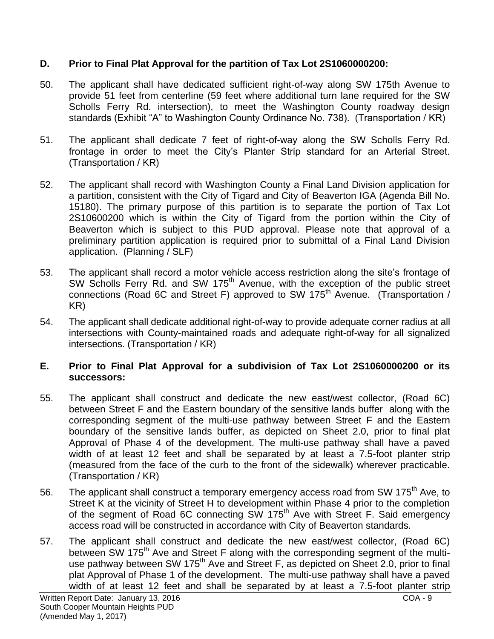# **D. Prior to Final Plat Approval for the partition of Tax Lot 2S1060000200:**

- 50. The applicant shall have dedicated sufficient right-of-way along SW 175th Avenue to provide 51 feet from centerline (59 feet where additional turn lane required for the SW Scholls Ferry Rd. intersection), to meet the Washington County roadway design standards (Exhibit "A" to Washington County Ordinance No. 738). (Transportation / KR)
- 51. The applicant shall dedicate 7 feet of right-of-way along the SW Scholls Ferry Rd. frontage in order to meet the City's Planter Strip standard for an Arterial Street. (Transportation / KR)
- 52. The applicant shall record with Washington County a Final Land Division application for a partition, consistent with the City of Tigard and City of Beaverton IGA (Agenda Bill No. 15180). The primary purpose of this partition is to separate the portion of Tax Lot 2S10600200 which is within the City of Tigard from the portion within the City of Beaverton which is subject to this PUD approval. Please note that approval of a preliminary partition application is required prior to submittal of a Final Land Division application. (Planning / SLF)
- 53. The applicant shall record a motor vehicle access restriction along the site's frontage of SW Scholls Ferry Rd. and SW 175<sup>th</sup> Avenue, with the exception of the public street connections (Road 6C and Street F) approved to SW 175<sup>th</sup> Avenue. (Transportation / KR)
- 54. The applicant shall dedicate additional right-of-way to provide adequate corner radius at all intersections with County-maintained roads and adequate right-of-way for all signalized intersections. (Transportation / KR)

# **E. Prior to Final Plat Approval for a subdivision of Tax Lot 2S1060000200 or its successors:**

- 55. The applicant shall construct and dedicate the new east/west collector, (Road 6C) between Street F and the Eastern boundary of the sensitive lands buffer along with the corresponding segment of the multi-use pathway between Street F and the Eastern boundary of the sensitive lands buffer, as depicted on Sheet 2.0, prior to final plat Approval of Phase 4 of the development. The multi-use pathway shall have a paved width of at least 12 feet and shall be separated by at least a 7.5-foot planter strip (measured from the face of the curb to the front of the sidewalk) wherever practicable. (Transportation / KR)
- 56. The applicant shall construct a temporary emergency access road from SW 175<sup>th</sup> Ave, to Street K at the vicinity of Street H to development within Phase 4 prior to the completion of the segment of Road 6C connecting SW 175<sup>th</sup> Ave with Street F. Said emergency access road will be constructed in accordance with City of Beaverton standards.
- 57. The applicant shall construct and dedicate the new east/west collector, (Road 6C) between SW 175<sup>th</sup> Ave and Street F along with the corresponding segment of the multiuse pathway between SW 175<sup>th</sup> Ave and Street F, as depicted on Sheet 2.0, prior to final plat Approval of Phase 1 of the development. The multi-use pathway shall have a paved width of at least 12 feet and shall be separated by at least a 7.5-foot planter strip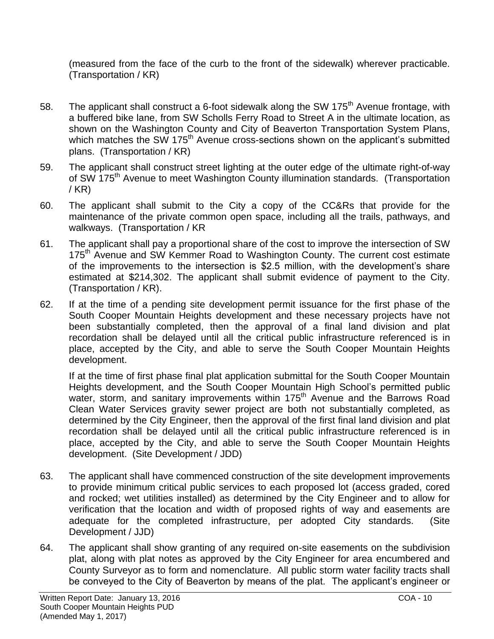(measured from the face of the curb to the front of the sidewalk) wherever practicable. (Transportation / KR)

- 58. The applicant shall construct a 6-foot sidewalk along the SW 175<sup>th</sup> Avenue frontage, with a buffered bike lane, from SW Scholls Ferry Road to Street A in the ultimate location, as shown on the Washington County and City of Beaverton Transportation System Plans, which matches the SW 175<sup>th</sup> Avenue cross-sections shown on the applicant's submitted plans. (Transportation / KR)
- 59. The applicant shall construct street lighting at the outer edge of the ultimate right-of-way of SW 175<sup>th</sup> Avenue to meet Washington County illumination standards. (Transportation / KR)
- 60. The applicant shall submit to the City a copy of the CC&Rs that provide for the maintenance of the private common open space, including all the trails, pathways, and walkways. (Transportation / KR
- 61. The applicant shall pay a proportional share of the cost to improve the intersection of SW 175<sup>th</sup> Avenue and SW Kemmer Road to Washington County. The current cost estimate of the improvements to the intersection is \$2.5 million, with the development's share estimated at \$214,302. The applicant shall submit evidence of payment to the City. (Transportation / KR).
- 62. If at the time of a pending site development permit issuance for the first phase of the South Cooper Mountain Heights development and these necessary projects have not been substantially completed, then the approval of a final land division and plat recordation shall be delayed until all the critical public infrastructure referenced is in place, accepted by the City, and able to serve the South Cooper Mountain Heights development.

If at the time of first phase final plat application submittal for the South Cooper Mountain Heights development, and the South Cooper Mountain High School's permitted public water, storm, and sanitary improvements within 175<sup>th</sup> Avenue and the Barrows Road Clean Water Services gravity sewer project are both not substantially completed, as determined by the City Engineer, then the approval of the first final land division and plat recordation shall be delayed until all the critical public infrastructure referenced is in place, accepted by the City, and able to serve the South Cooper Mountain Heights development. (Site Development / JDD)

- 63. The applicant shall have commenced construction of the site development improvements to provide minimum critical public services to each proposed lot (access graded, cored and rocked; wet utilities installed) as determined by the City Engineer and to allow for verification that the location and width of proposed rights of way and easements are adequate for the completed infrastructure, per adopted City standards. (Site Development / JJD)
- 64. The applicant shall show granting of any required on-site easements on the subdivision plat, along with plat notes as approved by the City Engineer for area encumbered and County Surveyor as to form and nomenclature. All public storm water facility tracts shall be conveyed to the City of Beaverton by means of the plat. The applicant's engineer or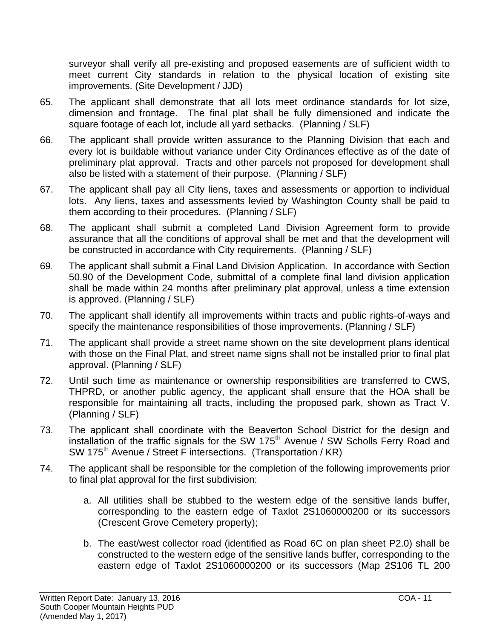surveyor shall verify all pre-existing and proposed easements are of sufficient width to meet current City standards in relation to the physical location of existing site improvements. (Site Development / JJD)

- 65. The applicant shall demonstrate that all lots meet ordinance standards for lot size, dimension and frontage. The final plat shall be fully dimensioned and indicate the square footage of each lot, include all yard setbacks. (Planning / SLF)
- 66. The applicant shall provide written assurance to the Planning Division that each and every lot is buildable without variance under City Ordinances effective as of the date of preliminary plat approval. Tracts and other parcels not proposed for development shall also be listed with a statement of their purpose. (Planning / SLF)
- 67. The applicant shall pay all City liens, taxes and assessments or apportion to individual lots. Any liens, taxes and assessments levied by Washington County shall be paid to them according to their procedures. (Planning / SLF)
- 68. The applicant shall submit a completed Land Division Agreement form to provide assurance that all the conditions of approval shall be met and that the development will be constructed in accordance with City requirements. (Planning / SLF)
- 69. The applicant shall submit a Final Land Division Application. In accordance with Section 50.90 of the Development Code, submittal of a complete final land division application shall be made within 24 months after preliminary plat approval, unless a time extension is approved. (Planning / SLF)
- 70. The applicant shall identify all improvements within tracts and public rights-of-ways and specify the maintenance responsibilities of those improvements. (Planning / SLF)
- 71. The applicant shall provide a street name shown on the site development plans identical with those on the Final Plat, and street name signs shall not be installed prior to final plat approval. (Planning / SLF)
- 72. Until such time as maintenance or ownership responsibilities are transferred to CWS, THPRD, or another public agency, the applicant shall ensure that the HOA shall be responsible for maintaining all tracts, including the proposed park, shown as Tract V. (Planning / SLF)
- 73. The applicant shall coordinate with the Beaverton School District for the design and installation of the traffic signals for the SW  $175<sup>th</sup>$  Avenue / SW Scholls Ferry Road and SW 175<sup>th</sup> Avenue / Street F intersections. (Transportation / KR)
- 74. The applicant shall be responsible for the completion of the following improvements prior to final plat approval for the first subdivision:
	- a. All utilities shall be stubbed to the western edge of the sensitive lands buffer, corresponding to the eastern edge of Taxlot 2S1060000200 or its successors (Crescent Grove Cemetery property);
	- b. The east/west collector road (identified as Road 6C on plan sheet P2.0) shall be constructed to the western edge of the sensitive lands buffer, corresponding to the eastern edge of Taxlot 2S1060000200 or its successors (Map 2S106 TL 200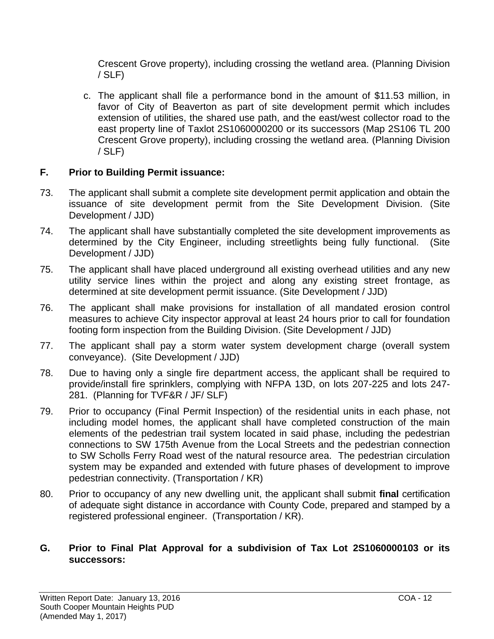Crescent Grove property), including crossing the wetland area. (Planning Division / SLF)

c. The applicant shall file a performance bond in the amount of \$11.53 million, in favor of City of Beaverton as part of site development permit which includes extension of utilities, the shared use path, and the east/west collector road to the east property line of Taxlot 2S1060000200 or its successors (Map 2S106 TL 200 Crescent Grove property), including crossing the wetland area. (Planning Division / SLF)

# **F. Prior to Building Permit issuance:**

- 73. The applicant shall submit a complete site development permit application and obtain the issuance of site development permit from the Site Development Division. (Site Development / JJD)
- 74. The applicant shall have substantially completed the site development improvements as determined by the City Engineer, including streetlights being fully functional. (Site Development / JJD)
- 75. The applicant shall have placed underground all existing overhead utilities and any new utility service lines within the project and along any existing street frontage, as determined at site development permit issuance. (Site Development / JJD)
- 76. The applicant shall make provisions for installation of all mandated erosion control measures to achieve City inspector approval at least 24 hours prior to call for foundation footing form inspection from the Building Division. (Site Development / JJD)
- 77. The applicant shall pay a storm water system development charge (overall system conveyance). (Site Development / JJD)
- 78. Due to having only a single fire department access, the applicant shall be required to provide/install fire sprinklers, complying with NFPA 13D, on lots 207-225 and lots 247- 281. (Planning for TVF&R / JF/ SLF)
- 79. Prior to occupancy (Final Permit Inspection) of the residential units in each phase, not including model homes, the applicant shall have completed construction of the main elements of the pedestrian trail system located in said phase, including the pedestrian connections to SW 175th Avenue from the Local Streets and the pedestrian connection to SW Scholls Ferry Road west of the natural resource area. The pedestrian circulation system may be expanded and extended with future phases of development to improve pedestrian connectivity. (Transportation / KR)
- 80. Prior to occupancy of any new dwelling unit, the applicant shall submit **final** certification of adequate sight distance in accordance with County Code, prepared and stamped by a registered professional engineer. (Transportation / KR).

# **G. Prior to Final Plat Approval for a subdivision of Tax Lot 2S1060000103 or its successors:**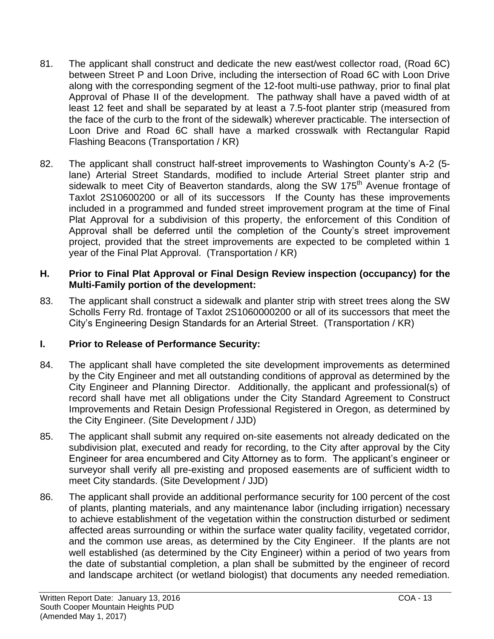- 81. The applicant shall construct and dedicate the new east/west collector road, (Road 6C) between Street P and Loon Drive, including the intersection of Road 6C with Loon Drive along with the corresponding segment of the 12-foot multi-use pathway, prior to final plat Approval of Phase II of the development. The pathway shall have a paved width of at least 12 feet and shall be separated by at least a 7.5-foot planter strip (measured from the face of the curb to the front of the sidewalk) wherever practicable. The intersection of Loon Drive and Road 6C shall have a marked crosswalk with Rectangular Rapid Flashing Beacons (Transportation / KR)
- 82. The applicant shall construct half-street improvements to Washington County's A-2 (5 lane) Arterial Street Standards, modified to include Arterial Street planter strip and sidewalk to meet City of Beaverton standards, along the SW 175<sup>th</sup> Avenue frontage of Taxlot 2S10600200 or all of its successors If the County has these improvements included in a programmed and funded street improvement program at the time of Final Plat Approval for a subdivision of this property, the enforcement of this Condition of Approval shall be deferred until the completion of the County's street improvement project, provided that the street improvements are expected to be completed within 1 year of the Final Plat Approval. (Transportation / KR)

### **H. Prior to Final Plat Approval or Final Design Review inspection (occupancy) for the Multi-Family portion of the development:**

83. The applicant shall construct a sidewalk and planter strip with street trees along the SW Scholls Ferry Rd. frontage of Taxlot 2S1060000200 or all of its successors that meet the City's Engineering Design Standards for an Arterial Street. (Transportation / KR)

# **I. Prior to Release of Performance Security:**

- 84. The applicant shall have completed the site development improvements as determined by the City Engineer and met all outstanding conditions of approval as determined by the City Engineer and Planning Director. Additionally, the applicant and professional(s) of record shall have met all obligations under the City Standard Agreement to Construct Improvements and Retain Design Professional Registered in Oregon, as determined by the City Engineer. (Site Development / JJD)
- 85. The applicant shall submit any required on-site easements not already dedicated on the subdivision plat, executed and ready for recording, to the City after approval by the City Engineer for area encumbered and City Attorney as to form. The applicant's engineer or surveyor shall verify all pre-existing and proposed easements are of sufficient width to meet City standards. (Site Development / JJD)
- 86. The applicant shall provide an additional performance security for 100 percent of the cost of plants, planting materials, and any maintenance labor (including irrigation) necessary to achieve establishment of the vegetation within the construction disturbed or sediment affected areas surrounding or within the surface water quality facility, vegetated corridor, and the common use areas, as determined by the City Engineer. If the plants are not well established (as determined by the City Engineer) within a period of two years from the date of substantial completion, a plan shall be submitted by the engineer of record and landscape architect (or wetland biologist) that documents any needed remediation.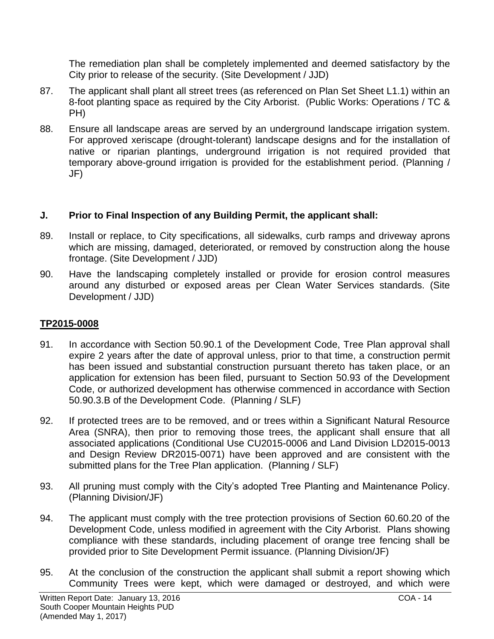The remediation plan shall be completely implemented and deemed satisfactory by the City prior to release of the security. (Site Development / JJD)

- 87. The applicant shall plant all street trees (as referenced on Plan Set Sheet L1.1) within an 8-foot planting space as required by the City Arborist. (Public Works: Operations / TC & PH)
- 88. Ensure all landscape areas are served by an underground landscape irrigation system. For approved xeriscape (drought-tolerant) landscape designs and for the installation of native or riparian plantings, underground irrigation is not required provided that temporary above-ground irrigation is provided for the establishment period. (Planning / JF)

# **J. Prior to Final Inspection of any Building Permit, the applicant shall:**

- 89. Install or replace, to City specifications, all sidewalks, curb ramps and driveway aprons which are missing, damaged, deteriorated, or removed by construction along the house frontage. (Site Development / JJD)
- 90. Have the landscaping completely installed or provide for erosion control measures around any disturbed or exposed areas per Clean Water Services standards. (Site Development / JJD)

# **TP2015-0008**

- 91. In accordance with Section 50.90.1 of the Development Code, Tree Plan approval shall expire 2 years after the date of approval unless, prior to that time, a construction permit has been issued and substantial construction pursuant thereto has taken place, or an application for extension has been filed, pursuant to Section 50.93 of the Development Code, or authorized development has otherwise commenced in accordance with Section 50.90.3.B of the Development Code. (Planning / SLF)
- 92. If protected trees are to be removed, and or trees within a Significant Natural Resource Area (SNRA), then prior to removing those trees, the applicant shall ensure that all associated applications (Conditional Use CU2015-0006 and Land Division LD2015-0013 and Design Review DR2015-0071) have been approved and are consistent with the submitted plans for the Tree Plan application. (Planning / SLF)
- 93. All pruning must comply with the City's adopted Tree Planting and Maintenance Policy. (Planning Division/JF)
- 94. The applicant must comply with the tree protection provisions of Section 60.60.20 of the Development Code, unless modified in agreement with the City Arborist. Plans showing compliance with these standards, including placement of orange tree fencing shall be provided prior to Site Development Permit issuance. (Planning Division/JF)
- 95. At the conclusion of the construction the applicant shall submit a report showing which Community Trees were kept, which were damaged or destroyed, and which were